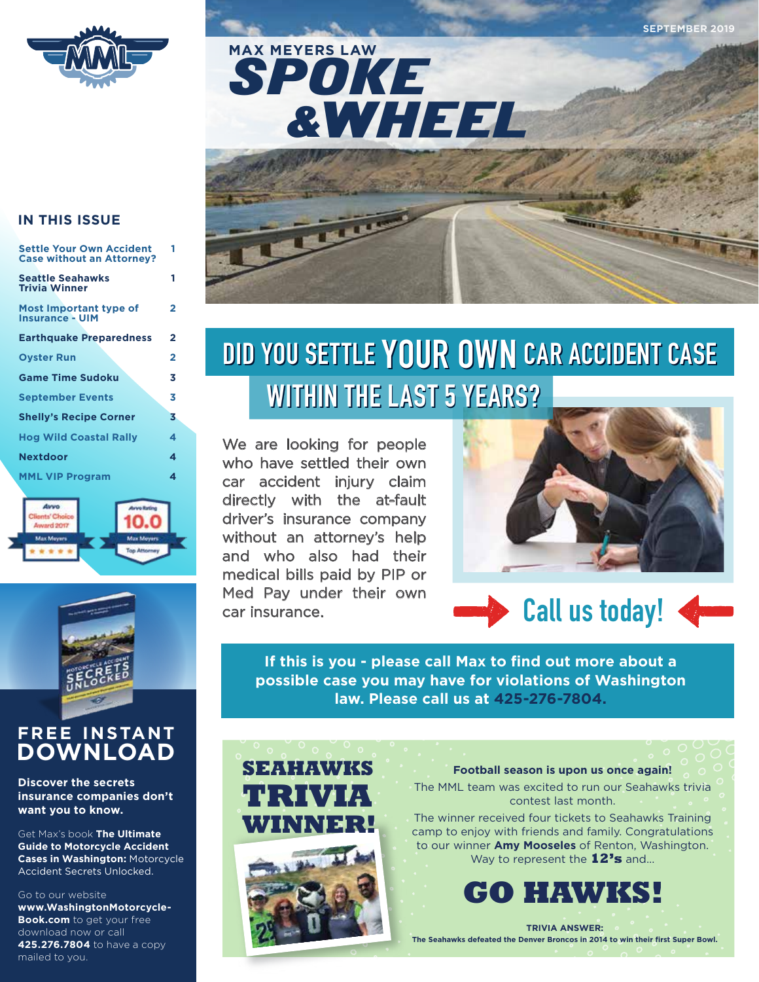SPOKE &WHEEL **MAX MEYERS LAW**



# **IN THIS ISSUE**

| <b>Settle Your Own Accident</b><br><b>Case without an Attorney?</b> | 1 |
|---------------------------------------------------------------------|---|
| <b>Seattle Seahawks</b><br><b>Trivia Winner</b>                     | 1 |
| Most Important type of<br><b>Insurance - UIM</b>                    | 2 |
| <b>Earthquake Preparedness</b>                                      | 2 |
| <b>Ovster Run</b>                                                   | 2 |
| <b>Game Time Sudoku</b>                                             | 3 |
| <b>September Events</b>                                             | 3 |
| <b>Shelly's Recipe Corner</b>                                       | 3 |
| <b>Hog Wild Coastal Rally</b>                                       | 4 |
| <b>Nextdoor</b>                                                     | 4 |
| <b>MML VIP Program</b>                                              | 4 |





# **FREE INSTANT DOWNLOAD**

# **Discover the secrets insurance companies don't want you to know.**

Get Max's book **The Ultimate Guide to Motorcycle Accident Cases in Washington:** Motorcycle Accident Secrets Unlocked.

### Go to our website

**www.WashingtonMotorcycle-Book.com** to get your free download now or call **425.276.7804** to have a copy mailed to you.

# **DID YOU SETTLEYOUR OWN CAR ACCIDENT CASE DID YOU SETTLEYOUR OWN CAR ACCIDENT CASE WITHIN THE LAST 5 YEARS? WITHIN THE LAST 5 YEARS?**

We are looking for people who have settled their own car accident injury claim directly with the at-fault driver's insurance company without an attorney's help and who also had their medical bills paid by PIP or Med Pay under their own car insurance.



# **Call us today!**

**Open** 

**If this is you - please call Max to find out more about a possible case you may have for violations of Washington law. Please call us at 425-276-7804.**



**Football season is upon us once again!** 

The MML team was excited to run our Seahawks trivia contest last month.

The winner received four tickets to Seahawks Training camp to enjoy with friends and family. Congratulations to our winner **Amy Mooseles** of Renton, Washington. Way to represent the **12's** and...



**TRIVIA ANSWER: The Seahawks defeated the Denver Broncos in 2014 to win their first Super Bowl.**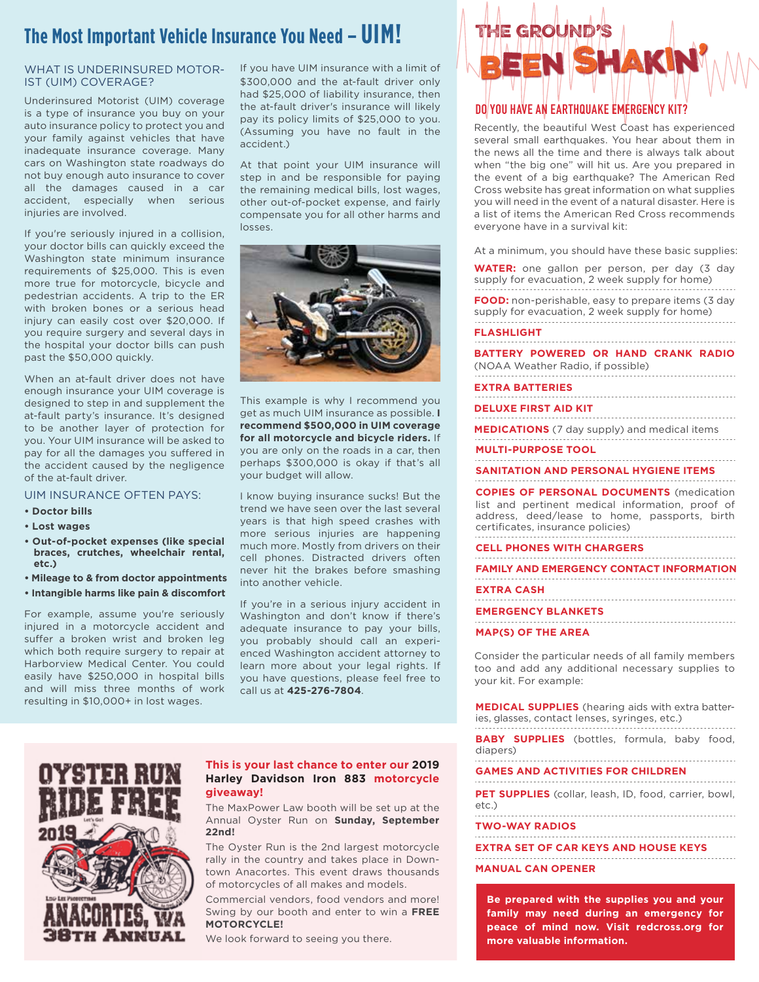# **The Most Important Vehicle Insurance You Need – UIM!**

## WHAT IS UNDERINSURED MOTOR-IST (UIM) COVERAGE?

Underinsured Motorist (UIM) coverage is a type of insurance you buy on your auto insurance policy to protect you and your family against vehicles that have inadequate insurance coverage. Many cars on Washington state roadways do not buy enough auto insurance to cover all the damages caused in a car accident, especially when serious injuries are involved.

If you're seriously injured in a collision, your doctor bills can quickly exceed the Washington state minimum insurance requirements of \$25,000. This is even more true for motorcycle, bicycle and pedestrian accidents. A trip to the ER with broken bones or a serious head injury can easily cost over \$20,000. If you require surgery and several days in the hospital your doctor bills can push past the \$50,000 quickly.

When an at-fault driver does not have enough insurance your UIM coverage is designed to step in and supplement the at-fault party's insurance. It's designed to be another layer of protection for you. Your UIM insurance will be asked to pay for all the damages you suffered in the accident caused by the negligence of the at-fault driver.

### UIM INSURANCE OFTEN PAYS:

- **Doctor bills**
- **Lost wages**
- **• Out-of-pocket expenses (like special braces, crutches, wheelchair rental, etc.)**
- **• Mileage to & from doctor appointments**
- **Intangible harms like pain & discomfort**

For example, assume you're seriously injured in a motorcycle accident and suffer a broken wrist and broken leg which both require surgery to repair at Harborview Medical Center. You could easily have \$250,000 in hospital bills and will miss three months of work resulting in \$10,000+ in lost wages.

If you have UIM insurance with a limit of \$300,000 and the at-fault driver only had \$25,000 of liability insurance, then the at-fault driver's insurance will likely pay its policy limits of \$25,000 to you. (Assuming you have no fault in the accident.)

At that point your UIM insurance will step in and be responsible for paying the remaining medical bills, lost wages, other out-of-pocket expense, and fairly compensate you for all other harms and losses.



This example is why I recommend you get as much UIM insurance as possible. **I recommend \$500,000 in UIM coverage for all motorcycle and bicycle riders.** If you are only on the roads in a car, then perhaps \$300,000 is okay if that's all your budget will allow.

I know buying insurance sucks! But the trend we have seen over the last several years is that high speed crashes with more serious injuries are happening much more. Mostly from drivers on their cell phones. Distracted drivers often never hit the brakes before smashing into another vehicle.

If you're in a serious injury accident in Washington and don't know if there's adequate insurance to pay your bills, you probably should call an experienced Washington accident attorney to learn more about your legal rights. If you have questions, please feel free to call us at **425-276-7804**.

# h Annijal

### **This is your last chance to enter our 2019 Harley Davidson Iron 883 motorcycle giveaway!**

The MaxPower Law booth will be set up at the Annual Oyster Run on **Sunday, September 22nd!** 

The Oyster Run is the 2nd largest motorcycle rally in the country and takes place in Downtown Anacortes. This event draws thousands of motorcycles of all makes and models.

Commercial vendors, food vendors and more! Swing by our booth and enter to win a **FREE MOTORCYCLE!**

We look forward to seeing you there.

# THE GROUND NSHAK

# **DO YOU HAVE AN EARTHQUAKE EMERGENCY KIT?**

Recently, the beautiful West Coast has experienced several small earthquakes. You hear about them in the news all the time and there is always talk about when "the big one" will hit us. Are you prepared in the event of a big earthquake? The American Red Cross website has great information on what supplies you will need in the event of a natural disaster. Here is a list of items the American Red Cross recommends everyone have in a survival kit:

At a minimum, you should have these basic supplies:

**WATER:** one gallon per person, per day (3 day supply for evacuation, 2 week supply for home)

**FOOD:** non-perishable, easy to prepare items (3 day supply for evacuation, 2 week supply for home)

### **FLASHLIGHT**

**BATTERY POWERED OR HAND CRANK RADIO**

(NOAA Weather Radio, if possible)

### **EXTRA BATTERIES**

**DELUXE FIRST AID KIT**

**MEDICATIONS** (7 day supply) and medical items

**MULTI-PURPOSE TOOL**

**SANITATION AND PERSONAL HYGIENE ITEMS**

**COPIES OF PERSONAL DOCUMENTS** (medication list and pertinent medical information, proof of address, deed/lease to home, passports, birth certificates, insurance policies)

**CELL PHONES WITH CHARGERS**

**FAMILY AND EMERGENCY CONTACT INFORMATION**

**EXTRA CASH**

**EMERGENCY BLANKETS**

# **MAP(S) OF THE AREA**

Consider the particular needs of all family members too and add any additional necessary supplies to your kit. For example:

**MEDICAL SUPPLIES** (hearing aids with extra batteries, glasses, contact lenses, syringes, etc.)

**BABY SUPPLIES** (bottles, formula, baby food, diapers) 

**GAMES AND ACTIVITIES FOR CHILDREN**

**PET SUPPLIES** (collar, leash, ID, food, carrier, bowl,

etc.)

**TWO-WAY RADIOS**

**EXTRA SET OF CAR KEYS AND HOUSE KEYS**

# **MANUAL CAN OPENER**

**Be prepared with the supplies you and your family may need during an emergency for peace of mind now. Visit redcross.org for more valuable information.**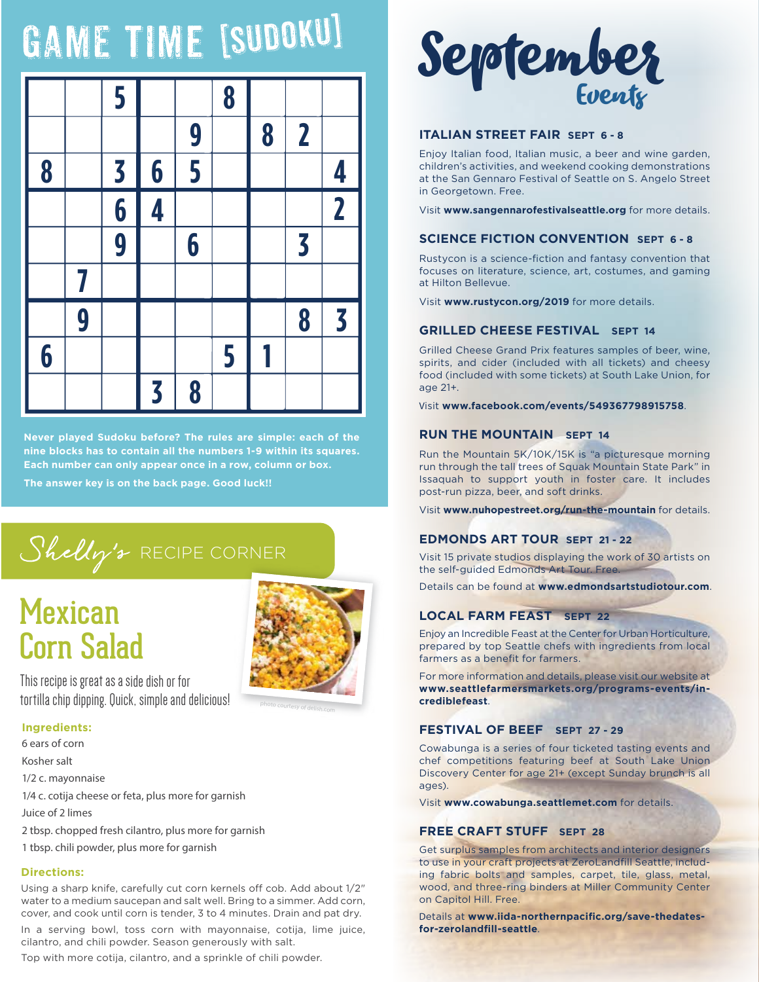# GAME TIME [SUDOKU]



**Never played Sudoku before? The rules are simple: each of the nine blocks has to contain all the numbers 1-9 within its squares. Each number can only appear once in a row, column or box.**

**The answer key is on the back page. Good luck!!** 

# Shelly's RECIPE CORNER

# **Mexican** Corn Salad



This recipe is great as a side dish or for tortilla chip dipping. Quick, simple and delicious!

# **Ingredients:**

- 6 ears of corn Kosher salt 1/2 c. mayonnaise 1/4 c. cotija cheese or feta, plus more for garnish Juice of 2 limes 2 tbsp. chopped fresh cilantro, plus more for garnish
- 1 tbsp. chili powder, plus more for garnish

# **Directions:**

Using a sharp knife, carefully cut corn kernels off cob. Add about 1/2" water to a medium saucepan and salt well. Bring to a simmer. Add corn, cover, and cook until corn is tender, 3 to 4 minutes. Drain and pat dry.

In a serving bowl, toss corn with mayonnaise, cotija, lime juice, cilantro, and chili powder. Season generously with salt.

Top with more cotija, cilantro, and a sprinkle of chili powder.



# **ITALIAN STREET FAIR SEPT 6 - 8**

Enjoy Italian food, Italian music, a beer and wine garden, children's activities, and weekend cooking demonstrations at the San Gennaro Festival of Seattle on S. Angelo Street in Georgetown. Free.

Visit **www.sangennarofestivalseattle.org** for more details.

# **SCIENCE FICTION CONVENTION SEPT 6 - 8**

Rustycon is a science-fiction and fantasy convention that focuses on literature, science, art, costumes, and gaming at Hilton Bellevue.

Visit **www.rustycon.org/2019** for more details.

# **GRILLED CHEESE FESTIVAL SEPT 14**

Grilled Cheese Grand Prix features samples of beer, wine, spirits, and cider (included with all tickets) and cheesy food (included with some tickets) at South Lake Union, for age 21+.

Visit **www.facebook.com/events/549367798915758**.

# **RUN THE MOUNTAIN SEPT 14**

Run the Mountain 5K/10K/15K is "a picturesque morning run through the tall trees of Squak Mountain State Park" in Issaquah to support youth in foster care. It includes post-run pizza, beer, and soft drinks.

Visit **www.nuhopestreet.org/run-the-mountain** for details.

# **EDMONDS ART TOUR SEPT 21 - 22**

Visit 15 private studios displaying the work of 30 artists on the self-guided Edmonds Art Tour. Free.

Details can be found at **www.edmondsartstudiotour.com**.

# **LOCAL FARM FEAST SEPT 22**

Enjoy an Incredible Feast at the Center for Urban Horticulture, prepared by top Seattle chefs with ingredients from local farmers as a benefit for farmers.

For more information and details, please visit our website at **www.seattlefarmersmarkets.org/programs-events/incrediblefeast**.

# **FESTIVAL OF BEEF SEPT 27 - 29**

Cowabunga is a series of four ticketed tasting events and chef competitions featuring beef at South Lake Union Discovery Center for age 21+ (except Sunday brunch is all ages).

Visit **www.cowabunga.seattlemet.com** for details.

# **FREE CRAFT STUFF SEPT 28**

Get surplus samples from architects and interior designers to use in your craft projects at ZeroLandfill Seattle, including fabric bolts and samples, carpet, tile, glass, metal, wood, and three-ring binders at Miller Community Center on Capitol Hill. Free.

Details at **www.iida-northernpacific.org/save-thedatesfor-zerolandfill-seattle**.